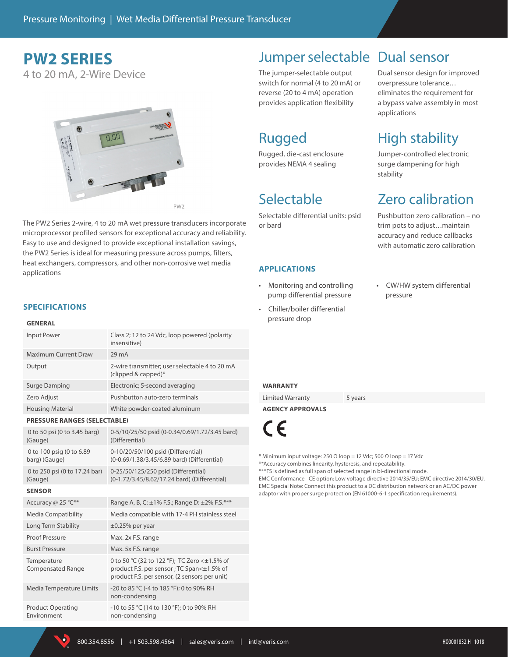# **PW2 SERIES**

4 to 20 mA, 2-Wire Device



The PW2 Series 2-wire, 4 to 20 mA wet pressure transducers incorporate microprocessor profiled sensors for exceptional accuracy and reliability. Easy to use and designed to provide exceptional installation savings, the PW2 Series is ideal for measuring pressure across pumps, filters, heat exchangers, compressors, and other non-corrosive wet media applications

## **SPECIFICATIONS**

### **GENERAL**

| <b>Input Power</b>                        | Class 2; 12 to 24 Vdc, loop powered (polarity<br>insensitive)                                                                              |  |  |  |
|-------------------------------------------|--------------------------------------------------------------------------------------------------------------------------------------------|--|--|--|
| Maximum Current Draw                      | 29 mA                                                                                                                                      |  |  |  |
| Output                                    | 2-wire transmitter; user selectable 4 to 20 mA<br>(clipped & capped)*                                                                      |  |  |  |
| <b>Surge Damping</b>                      | Electronic; 5-second averaging                                                                                                             |  |  |  |
| Zero Adjust                               | Pushbutton auto-zero terminals                                                                                                             |  |  |  |
| <b>Housing Material</b>                   | White powder-coated aluminum                                                                                                               |  |  |  |
| <b>PRESSURE RANGES (SELECTABLE)</b>       |                                                                                                                                            |  |  |  |
| 0 to 50 psi (0 to 3.45 barg)<br>(Gauge)   | 0-5/10/25/50 psid (0-0.34/0.69/1.72/3.45 bard)<br>(Differential)                                                                           |  |  |  |
| 0 to 100 psig (0 to 6.89<br>barg) (Gauge) | 0-10/20/50/100 psid (Differential)<br>(0-0.69/1.38/3.45/6.89 bard) (Differential)                                                          |  |  |  |
| 0 to 250 psi (0 to 17.24 bar)<br>(Gauge)  | 0-25/50/125/250 psid (Differential)<br>(0-1.72/3.45/8.62/17.24 bard) (Differential)                                                        |  |  |  |
| <b>SENSOR</b>                             |                                                                                                                                            |  |  |  |
| Accuracy @ 25 °C**                        | Range A, B, C: ±1% F.S.; Range D: ±2% F.S.***                                                                                              |  |  |  |
| <b>Media Compatibility</b>                | Media compatible with 17-4 PH stainless steel                                                                                              |  |  |  |
| Long Term Stability                       | $\pm 0.25\%$ per year                                                                                                                      |  |  |  |
| <b>Proof Pressure</b>                     | Max. 2x F.S. range                                                                                                                         |  |  |  |
| <b>Burst Pressure</b>                     | Max. 5x F.S. range                                                                                                                         |  |  |  |
| Temperature<br><b>Compensated Range</b>   | 0 to 50 °C (32 to 122 °F); TC Zero <±1.5% of<br>product F.S. per sensor; TC Span<±1.5% of<br>product F.S. per sensor, (2 sensors per unit) |  |  |  |
| Media Temperature Limits                  | -20 to 85 °C (-4 to 185 °F); 0 to 90% RH<br>non-condensing                                                                                 |  |  |  |
| <b>Product Operating</b><br>Environment   | -10 to 55 °C (14 to 130 °F); 0 to 90% RH<br>non-condensing                                                                                 |  |  |  |

## Jumper selectable Dual sensor

The jumper-selectable output switch for normal (4 to 20 mA) or reverse (20 to 4 mA) operation provides application flexibility

# Rugged

Rugged, die-cast enclosure provides NEMA 4 sealing

# Selectable

Selectable differential units: psid or bard

## **APPLICATIONS**

- Monitoring and controlling pump differential pressure
- Chiller/boiler differential pressure drop

Dual sensor design for improved overpressure tolerance… eliminates the requirement for a bypass valve assembly in most applications

## High stability

Jumper-controlled electronic surge dampening for high stability

## Zero calibration

Pushbutton zero calibration – no trim pots to adjust…maintain accuracy and reduce callbacks with automatic zero calibration

• CW/HW system differential pressure

## **WARRANTY**

Limited Warranty 5 years

**AGENCY APPROVALS**

 $\epsilon$ 

\* Minimum input voltage: 250 Ω loop = 12 Vdc; 500 Ω loop = 17 Vdc \*\*Accuracy combines linearity, hysteresis, and repeatability. \*\*\*FS is defined as full span of selected range in bi-directional mode. EMC Conformance - CE option: Low voltage directive 2014/35/EU; EMC directive 2014/30/EU. EMC Special Note: Connect this product to a DC distribution network or an AC/DC power adaptor with proper surge protection (EN 61000-6-1 specification requirements).